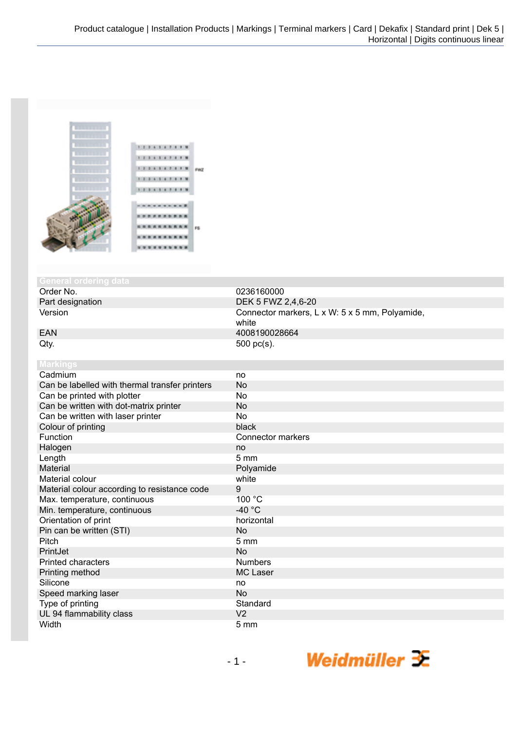

## **General orderinal**

Order No. 0236160000<br>
Part designation 
DEK 5 FWZ 2

Part designation DEK 5 FWZ 2,4,6-20<br>Version DEK 5 FWZ 2,4,6-20 Connector markers, L x W: 5 x 5 mm, Polyamide, white EAN 4008190028664  $Qty.$  500 pc(s).

| <b>Markings</b>                                |                          |
|------------------------------------------------|--------------------------|
| Cadmium                                        | no                       |
| Can be labelled with thermal transfer printers | No                       |
| Can be printed with plotter                    | No                       |
| Can be written with dot-matrix printer         | No                       |
| Can be written with laser printer              | No                       |
| Colour of printing                             | black                    |
| Function                                       | <b>Connector markers</b> |
| Halogen                                        | no                       |
| Length                                         | $5 \, \text{mm}$         |
| Material                                       | Polyamide                |
| Material colour                                | white                    |
| Material colour according to resistance code   | 9                        |
| Max. temperature, continuous                   | 100 °C                   |
| Min. temperature, continuous                   | -40 $°C$                 |
| Orientation of print                           | horizontal               |
| Pin can be written (STI)                       | <b>No</b>                |
| Pitch                                          | $5 \text{ mm}$           |
| PrintJet                                       | <b>No</b>                |
| <b>Printed characters</b>                      | <b>Numbers</b>           |
| Printing method                                | <b>MC Laser</b>          |
| Silicone                                       | no                       |
| Speed marking laser                            | <b>No</b>                |
| Type of printing                               | Standard                 |
| UL 94 flammability class                       | V <sub>2</sub>           |
| Width                                          | 5 <sub>mm</sub>          |